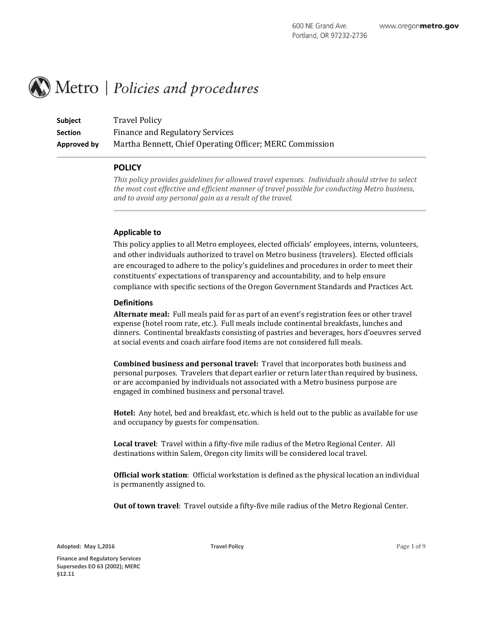# Metro | Policies and procedures

**Subject Travel Policy Section** Finance and Regulatory Services **Approved by** Martha Bennett, Chief Operating Officer; MERC Commission

# **POLICY**

*This policy provides guidelines for allowed travel expenses. Individuals should strive to select the most cost effective and efficient manner of travel possible for conducting Metro business, and to avoid any personal gain as a result of the travel.* 

# **Applicable to**

This policy applies to all Metro employees, elected officials' employees, interns, volunteers, and other individuals authorized to travel on Metro business (travelers). Elected officials are encouraged to adhere to the policy's guidelines and procedures in order to meet their constituents' expectations of transparency and accountability, and to help ensure compliance with specific sections of the Oregon Government Standards and Practices Act.

## **Definitions**

**Alternate meal:** Full meals paid for as part of an event's registration fees or other travel expense (hotel room rate, etc.). Full meals include continental breakfasts, lunches and dinners. Continental breakfasts consisting of pastries and beverages, hors d'oeuvres served at social events and coach airfare food items are not considered full meals.

**Combined business and personal travel:** Travel that incorporates both business and personal purposes. Travelers that depart earlier or return later than required by business, or are accompanied by individuals not associated with a Metro business purpose are engaged in combined business and personal travel.

**Hotel:** Any hotel, bed and breakfast, etc. which is held out to the public as available for use and occupancy by guests for compensation.

**Local travel**: Travel within a fifty-five mile radius of the Metro Regional Center. All destinations within Salem, Oregon city limits will be considered local travel.

**Official work station**: Official workstation is defined as the physical location an individual is permanently assigned to.

**Out of town travel**: Travel outside a fifty-five mile radius of the Metro Regional Center.

**Adopted: May 1,2016**

**Travel Policy** Page 1 of 9

**Finance and Regulatory Services Supersedes EO 63 (2002); MERC §12.11**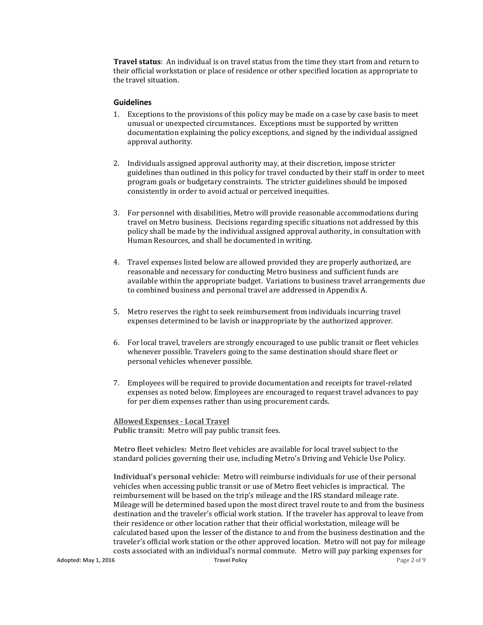**Travel status**: An individual is on travel status from the time they start from and return to their official workstation or place of residence or other specified location as appropriate to the travel situation.

## **Guidelines**

- 1. Exceptions to the provisions of this policy may be made on a case by case basis to meet unusual or unexpected circumstances. Exceptions must be supported by written documentation explaining the policy exceptions, and signed by the individual assigned approval authority.
- 2. Individuals assigned approval authority may, at their discretion, impose stricter guidelines than outlined in this policy for travel conducted by their staff in order to meet program goals or budgetary constraints. The stricter guidelines should be imposed consistently in order to avoid actual or perceived inequities.
- 3. For personnel with disabilities, Metro will provide reasonable accommodations during travel on Metro business. Decisions regarding specific situations not addressed by this policy shall be made by the individual assigned approval authority, in consultation with Human Resources, and shall be documented in writing.
- 4. Travel expenses listed below are allowed provided they are properly authorized, are reasonable and necessary for conducting Metro business and sufficient funds are available within the appropriate budget. Variations to business travel arrangements due to combined business and personal travel are addressed in Appendix A.
- 5. Metro reserves the right to seek reimbursement from individuals incurring travel expenses determined to be lavish or inappropriate by the authorized approver.
- 6. For local travel, travelers are strongly encouraged to use public transit or fleet vehicles whenever possible. Travelers going to the same destination should share fleet or personal vehicles whenever possible.
- 7. Employees will be required to provide documentation and receipts for travel-related expenses as noted below. Employees are encouraged to request travel advances to pay for per diem expenses rather than using procurement cards.

**Allowed Expenses - Local Travel Public transit:** Metro will pay public transit fees.

**Metro fleet vehicles:** Metro fleet vehicles are available for local travel subject to the standard policies governing their use, including Metro's Driving and Vehicle Use Policy.

**Adopted: May 1, 2016 Travel Policy** Page 2 of 9 **Individual's personal vehicle:** Metro will reimburse individuals for use of their personal vehicles when accessing public transit or use of Metro fleet vehicles is impractical. The reimbursement will be based on the trip's mileage and the IRS standard mileage rate. Mileage will be determined based upon the most direct travel route to and from the business destination and the traveler's official work station. If the traveler has approval to leave from their residence or other location rather that their official workstation, mileage will be calculated based upon the lesser of the distance to and from the business destination and the traveler's official work station or the other approved location. Metro will not pay for mileage costs associated with an individual's normal commute. Metro will pay parking expenses for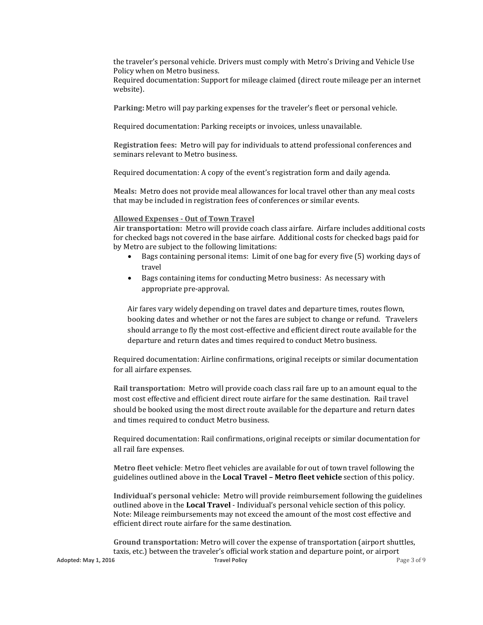the traveler's personal vehicle. Drivers must comply with Metro's Driving and Vehicle Use Policy when on Metro business.

Required documentation: Support for mileage claimed (direct route mileage per an internet website).

**Parking:** Metro will pay parking expenses for the traveler's fleet or personal vehicle.

Required documentation: Parking receipts or invoices, unless unavailable.

**Registration fees:** Metro will pay for individuals to attend professional conferences and seminars relevant to Metro business.

Required documentation: A copy of the event's registration form and daily agenda.

**Meals:** Metro does not provide meal allowances for local travel other than any meal costs that may be included in registration fees of conferences or similar events.

#### **Allowed Expenses - Out of Town Travel**

**Air transportation:** Metro will provide coach class airfare. Airfare includes additional costs for checked bags not covered in the base airfare. Additional costs for checked bags paid for by Metro are subject to the following limitations:

- Bags containing personal items: Limit of one bag for every five (5) working days of travel
- Bags containing items for conducting Metro business: As necessary with appropriate pre-approval.

Air fares vary widely depending on travel dates and departure times, routes flown, booking dates and whether or not the fares are subject to change or refund. Travelers should arrange to fly the most cost-effective and efficient direct route available for the departure and return dates and times required to conduct Metro business.

Required documentation: Airline confirmations, original receipts or similar documentation for all airfare expenses.

**Rail transportation:** Metro will provide coach class rail fare up to an amount equal to the most cost effective and efficient direct route airfare for the same destination. Rail travel should be booked using the most direct route available for the departure and return dates and times required to conduct Metro business.

Required documentation: Rail confirmations, original receipts or similar documentation for all rail fare expenses.

**Metro fleet vehicle**: Metro fleet vehicles are available for out of town travel following the guidelines outlined above in the **Local Travel – Metro fleet vehicle** section of this policy.

**Individual's personal vehicle:** Metro will provide reimbursement following the guidelines outlined above in the **Local Travel** - Individual's personal vehicle section of this policy. Note: Mileage reimbursements may not exceed the amount of the most cost effective and efficient direct route airfare for the same destination.

**Adopted: May 1, 2016 Travel Policy** Page 3 of 9 **Ground transportation:** Metro will cover the expense of transportation (airport shuttles, taxis, etc.) between the traveler's official work station and departure point, or airport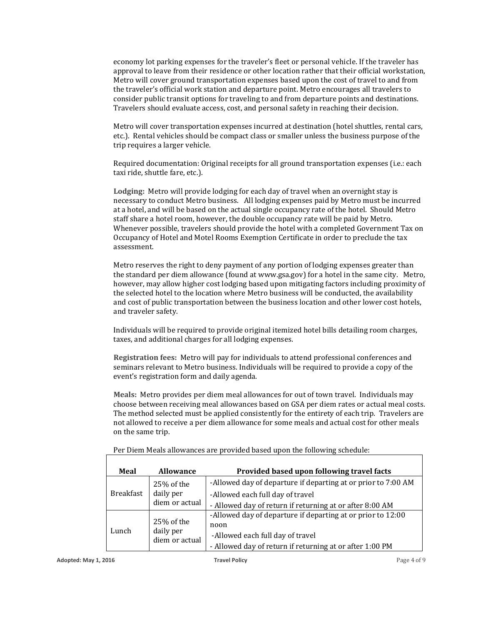economy lot parking expenses for the traveler's fleet or personal vehicle. If the traveler has approval to leave from their residence or other location rather that their official workstation, Metro will cover ground transportation expenses based upon the cost of travel to and from the traveler's official work station and departure point. Metro encourages all travelers to consider public transit options for traveling to and from departure points and destinations. Travelers should evaluate access, cost, and personal safety in reaching their decision.

Metro will cover transportation expenses incurred at destination (hotel shuttles, rental cars, etc.). Rental vehicles should be compact class or smaller unless the business purpose of the trip requires a larger vehicle.

Required documentation: Original receipts for all ground transportation expenses (i.e.: each taxi ride, shuttle fare, etc.).

**Lodging:** Metro will provide lodging for each day of travel when an overnight stay is necessary to conduct Metro business. All lodging expenses paid by Metro must be incurred at a hotel, and will be based on the actual single occupancy rate of the hotel. Should Metro staff share a hotel room, however, the double occupancy rate will be paid by Metro. Whenever possible, travelers should provide the hotel with a completed Government Tax on Occupancy of Hotel and Motel Rooms Exemption Certificate in order to preclude the tax assessment.

Metro reserves the right to deny payment of any portion of lodging expenses greater than the standard per diem allowance (found at www.gsa.gov) for a hotel in the same city. Metro, however, may allow higher cost lodging based upon mitigating factors including proximity of the selected hotel to the location where Metro business will be conducted, the availability and cost of public transportation between the business location and other lower cost hotels, and traveler safety.

Individuals will be required to provide original itemized hotel bills detailing room charges, taxes, and additional charges for all lodging expenses.

**Registration fees:** Metro will pay for individuals to attend professional conferences and seminars relevant to Metro business. Individuals will be required to provide a copy of the event's registration form and daily agenda.

**Meals:** Metro provides per diem meal allowances for out of town travel. Individuals may choose between receiving meal allowances based on GSA per diem rates or actual meal costs. The method selected must be applied consistently for the entirety of each trip. Travelers are not allowed to receive a per diem allowance for some meals and actual cost for other meals on the same trip.

| Meal             | <b>Allowance</b>                          | Provided based upon following travel facts                    |
|------------------|-------------------------------------------|---------------------------------------------------------------|
| <b>Breakfast</b> | 25% of the<br>daily per<br>diem or actual | -Allowed day of departure if departing at or prior to 7:00 AM |
|                  |                                           | -Allowed each full day of travel                              |
|                  |                                           | - Allowed day of return if returning at or after 8:00 AM      |
| Lunch            | 25% of the<br>daily per<br>diem or actual | -Allowed day of departure if departing at or prior to 12:00   |
|                  |                                           | noon                                                          |
|                  |                                           | -Allowed each full day of travel                              |
|                  |                                           | - Allowed day of return if returning at or after 1:00 PM      |

Per Diem Meals allowances are provided based upon the following schedule: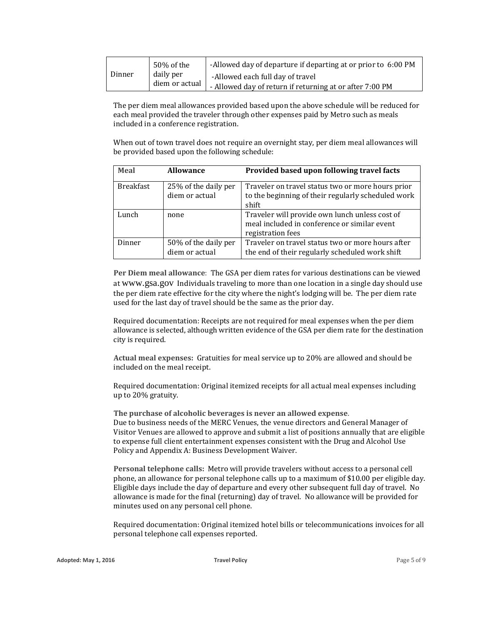| Dinner | 50% of the                  | -Allowed day of departure if departing at or prior to 6:00 PM |
|--------|-----------------------------|---------------------------------------------------------------|
|        | daily per<br>diem or actual | -Allowed each full day of travel                              |
|        |                             | - Allowed day of return if returning at or after 7:00 PM      |

The per diem meal allowances provided based upon the above schedule will be reduced for each meal provided the traveler through other expenses paid by Metro such as meals included in a conference registration.

When out of town travel does not require an overnight stay, per diem meal allowances will be provided based upon the following schedule:

| Meal             | <b>Allowance</b>                       | Provided based upon following travel facts                                                                          |
|------------------|----------------------------------------|---------------------------------------------------------------------------------------------------------------------|
| <b>Breakfast</b> | 25% of the daily per<br>diem or actual | Traveler on travel status two or more hours prior<br>to the beginning of their regularly scheduled work<br>shift    |
| Lunch            | none                                   | Traveler will provide own lunch unless cost of<br>meal included in conference or similar event<br>registration fees |
| Dinner           | 50% of the daily per<br>diem or actual | Traveler on travel status two or more hours after<br>the end of their regularly scheduled work shift                |

**Per Diem meal allowance**: The GSA per diem rates for various destinations can be viewed at [www.gsa.gov](http://www.gsa.gov/HP_01_Requested_perdiem) Individuals traveling to more than one location in a single day should use the per diem rate effective for the city where the night's lodging will be. The per diem rate used for the last day of travel should be the same as the prior day.

Required documentation: Receipts are not required for meal expenses when the per diem allowance is selected, although written evidence of the GSA per diem rate for the destination city is required.

**Actual meal expenses:** Gratuities for meal service up to 20% are allowed and should be included on the meal receipt.

Required documentation: Original itemized receipts for all actual meal expenses including up to 20% gratuity.

**The purchase of alcoholic beverages is never an allowed expense**. Due to business needs of the MERC Venues, the venue directors and General Manager of Visitor Venues are allowed to approve and submit a list of positions annually that are eligible to expense full client entertainment expenses consistent with the Drug and Alcohol Use Policy and Appendix A: Business Development Waiver.

**Personal telephone calls:** Metro will provide travelers without access to a personal cell phone, an allowance for personal telephone calls up to a maximum of \$10.00 per eligible day. Eligible days include the day of departure and every other subsequent full day of travel. No allowance is made for the final (returning) day of travel. No allowance will be provided for minutes used on any personal cell phone.

Required documentation: Original itemized hotel bills or telecommunications invoices for all personal telephone call expenses reported.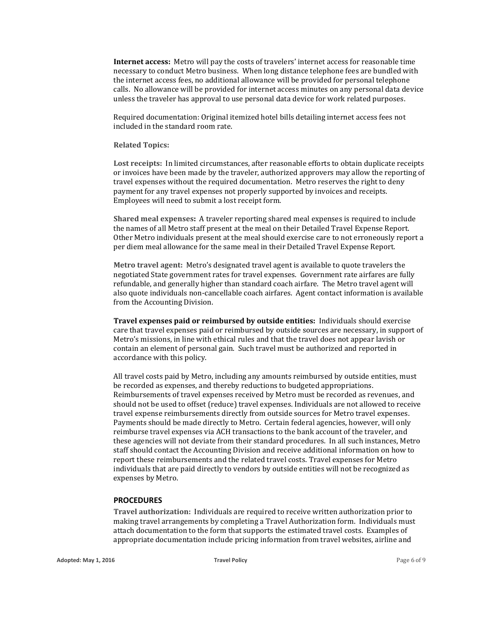**Internet access:** Metro will pay the costs of travelers' internet access for reasonable time necessary to conduct Metro business. When long distance telephone fees are bundled with the internet access fees, no additional allowance will be provided for personal telephone calls. No allowance will be provided for internet access minutes on any personal data device unless the traveler has approval to use personal data device for work related purposes.

Required documentation: Original itemized hotel bills detailing internet access fees not included in the standard room rate.

## **Related Topics:**

**Lost receipts:** In limited circumstances, after reasonable efforts to obtain duplicate receipts or invoices have been made by the traveler, authorized approvers may allow the reporting of travel expenses without the required documentation. Metro reserves the right to deny payment for any travel expenses not properly supported by invoices and receipts. Employees will need to submit a lost receipt form.

**Shared meal expenses:** A traveler reporting shared meal expenses is required to include the names of all Metro staff present at the meal on their Detailed Travel Expense Report. Other Metro individuals present at the meal should exercise care to not erroneously report a per diem meal allowance for the same meal in their Detailed Travel Expense Report.

**Metro travel agent:** Metro's designated travel agent is available to quote travelers the negotiated State government rates for travel expenses. Government rate airfares are fully refundable, and generally higher than standard coach airfare. The Metro travel agent will also quote individuals non-cancellable coach airfares. Agent contact information is available from the Accounting Division.

**Travel expenses paid or reimbursed by outside entities:** Individuals should exercise care that travel expenses paid or reimbursed by outside sources are necessary, in support of Metro's missions, in line with ethical rules and that the travel does not appear lavish or contain an element of personal gain. Such travel must be authorized and reported in accordance with this policy.

All travel costs paid by Metro, including any amounts reimbursed by outside entities, must be recorded as expenses, and thereby reductions to budgeted appropriations. Reimbursements of travel expenses received by Metro must be recorded as revenues, and should not be used to offset (reduce) travel expenses. Individuals are not allowed to receive travel expense reimbursements directly from outside sources for Metro travel expenses. Payments should be made directly to Metro. Certain federal agencies, however, will only reimburse travel expenses via ACH transactions to the bank account of the traveler, and these agencies will not deviate from their standard procedures. In all such instances, Metro staff should contact the Accounting Division and receive additional information on how to report these reimbursements and the related travel costs. Travel expenses for Metro individuals that are paid directly to vendors by outside entities will not be recognized as expenses by Metro.

#### **PROCEDURES**

**Travel authorization:** Individuals are required to receive written authorization prior to making travel arrangements by completing a Travel Authorization form. Individuals must attach documentation to the form that supports the estimated travel costs. Examples of appropriate documentation include pricing information from travel websites, airline and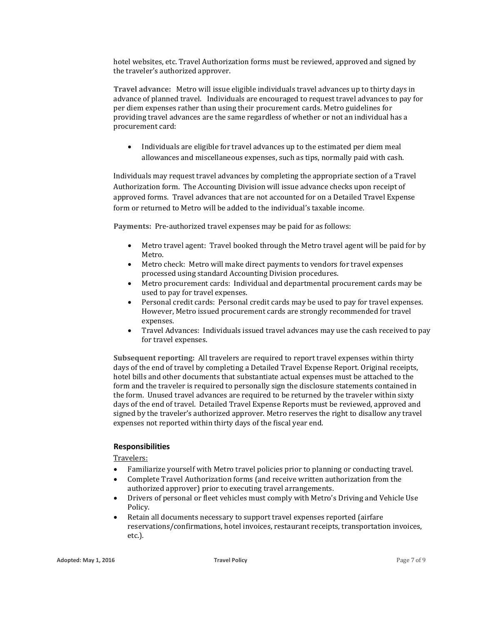hotel websites, etc. Travel Authorization forms must be reviewed, approved and signed by the traveler's authorized approver.

**Travel advance:** Metro will issue eligible individuals travel advances up to thirty days in advance of planned travel. Individuals are encouraged to request travel advances to pay for per diem expenses rather than using their procurement cards. Metro guidelines for providing travel advances are the same regardless of whether or not an individual has a procurement card:

 Individuals are eligible for travel advances up to the estimated per diem meal allowances and miscellaneous expenses, such as tips, normally paid with cash.

Individuals may request travel advances by completing the appropriate section of a Travel Authorization form. The Accounting Division will issue advance checks upon receipt of approved forms. Travel advances that are not accounted for on a Detailed Travel Expense form or returned to Metro will be added to the individual's taxable income.

**Payments:** Pre-authorized travel expenses may be paid for as follows:

- Metro travel agent: Travel booked through the Metro travel agent will be paid for by Metro.
- Metro check: Metro will make direct payments to vendors for travel expenses processed using standard Accounting Division procedures.
- Metro procurement cards: Individual and departmental procurement cards may be used to pay for travel expenses.
- Personal credit cards: Personal credit cards may be used to pay for travel expenses. However, Metro issued procurement cards are strongly recommended for travel expenses.
- Travel Advances: Individuals issued travel advances may use the cash received to pay for travel expenses.

**Subsequent reporting:** All travelers are required to report travel expenses within thirty days of the end of travel by completing a Detailed Travel Expense Report. Original receipts, hotel bills and other documents that substantiate actual expenses must be attached to the form and the traveler is required to personally sign the disclosure statements contained in the form. Unused travel advances are required to be returned by the traveler within sixty days of the end of travel. Detailed Travel Expense Reports must be reviewed, approved and signed by the traveler's authorized approver. Metro reserves the right to disallow any travel expenses not reported within thirty days of the fiscal year end.

# **Responsibilities**

Travelers:

- Familiarize yourself with Metro travel policies prior to planning or conducting travel.
- Complete Travel Authorization forms (and receive written authorization from the authorized approver) prior to executing travel arrangements.
- Drivers of personal or fleet vehicles must comply with Metro's Driving and Vehicle Use Policy.
- Retain all documents necessary to support travel expenses reported (airfare reservations/confirmations, hotel invoices, restaurant receipts, transportation invoices, etc.).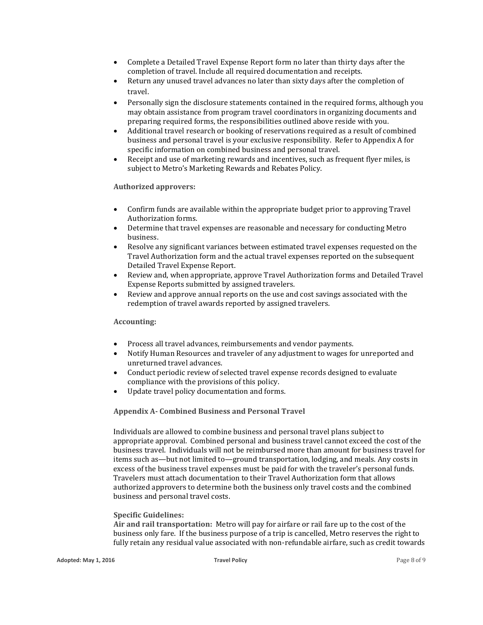- Complete a Detailed Travel Expense Report form no later than thirty days after the completion of travel. Include all required documentation and receipts.
- Return any unused travel advances no later than sixty days after the completion of travel.
- Personally sign the disclosure statements contained in the required forms, although you may obtain assistance from program travel coordinators in organizing documents and preparing required forms, the responsibilities outlined above reside with you.
- Additional travel research or booking of reservations required as a result of combined business and personal travel is your exclusive responsibility. Refer to Appendix A for specific information on combined business and personal travel.
- Receipt and use of marketing rewards and incentives, such as frequent flyer miles, is subject to Metro's Marketing Rewards and Rebates Policy.

## **Authorized approvers:**

- Confirm funds are available within the appropriate budget prior to approving Travel Authorization forms.
- Determine that travel expenses are reasonable and necessary for conducting Metro business.
- Resolve any significant variances between estimated travel expenses requested on the Travel Authorization form and the actual travel expenses reported on the subsequent Detailed Travel Expense Report.
- Review and, when appropriate, approve Travel Authorization forms and Detailed Travel Expense Reports submitted by assigned travelers.
- Review and approve annual reports on the use and cost savings associated with the redemption of travel awards reported by assigned travelers.

### **Accounting:**

- Process all travel advances, reimbursements and vendor payments.
- Notify Human Resources and traveler of any adjustment to wages for unreported and unreturned travel advances.
- Conduct periodic review of selected travel expense records designed to evaluate compliance with the provisions of this policy.
- Update travel policy documentation and forms.

**Appendix A- Combined Business and Personal Travel**

Individuals are allowed to combine business and personal travel plans subject to appropriate approval. Combined personal and business travel cannot exceed the cost of the business travel. Individuals will not be reimbursed more than amount for business travel for items such as—but not limited to—ground transportation, lodging, and meals. Any costs in excess of the business travel expenses must be paid for with the traveler's personal funds. Travelers must attach documentation to their Travel Authorization form that allows authorized approvers to determine both the business only travel costs and the combined business and personal travel costs.

#### **Specific Guidelines:**

**Air and rail transportation:** Metro will pay for airfare or rail fare up to the cost of the business only fare. If the business purpose of a trip is cancelled, Metro reserves the right to fully retain any residual value associated with non-refundable airfare, such as credit towards